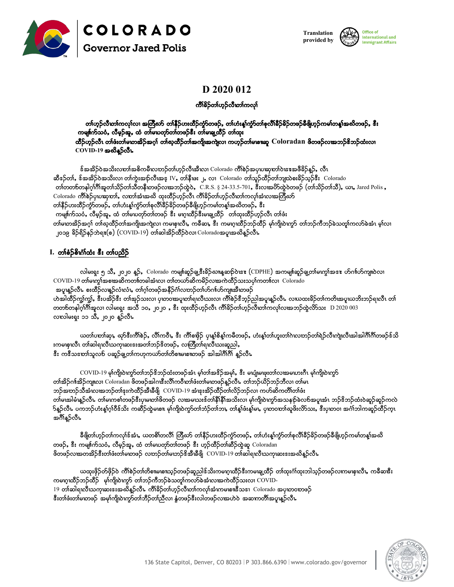





# D 2020 012

ကိၢိနိဉ်တ၊်ဟွဉ်လီထာ်ကလု၊်

#### တ၊်ဟ္ဥ်လီတာ်ကလု၊်လ၊ အတြိဳဃာ် တ၊ိနိဉ်ဟးထိဉ်ကွာ်တဖဉ်, တ၊်ဟံးန့၊်ကွဲာ်တ၊်စုလိ၊ိနိဉ်နိဉ်တဖဉ်နီဖိုဟုဉ်ကမ၊်တန့၊်အဆိတဖဉ်, ဖီး ကမျ။်က်သဝံ, လီမှဉ်အူ, ထံ တစ်မယတုာ်တစ်တဖဉ်ဒီး တစ်မရက္ထိဉ် တစ်ထုး ထိဉ်ဟ္ဥ်လီၤ တၢဴဖံးတ၊်မထာ့အိဉ်အဂ္ဂါ တ၊်ဃ္နထိဉ်တ၊်အကျိုအကျဲလ၊ ကဟ္ဥ်တ၊်မဖားဆူ  $\,$  Coloradan ဖိတဖဉ်လးအဘဉ်&ဘဉ်ထံးလ၊  $COVID-19$  အထိနူဉ်လီး

န်အအိဉ်ဝဲအသိးလႃာအ်အစိကမီးလႃာဉ်တၢ်ဟ္ဉ်လီးအီးလ၊ Colorado ကိၢိစဉ်အပုဃဆုတၢ်ဝဲၾအဖီခိဉ်န္ဉဉ်, လီၤ ဆီနဉ်တၢ်, န်အအိဉ်ဝဲအသိးလ၊ တ၊်ကွဲးအဉ်လီ၊အန္ IV, တၢ်နီ၊ဖး ၂, လ၊ Colorado တၢ်သူဉ်ထိဉ်တ၊်ဘျာသံစးခိဉ်သူဉ်နီး Colorado တၢ်တတစ်တနါဂု၊ိဂီ၊အူတၢ်သိဉ်တၢ်သီတနီးတဖဉ်လၽာဘဉ်ထွဲဝဲ, C.R.S. § 24-33.5-701, ဒီးလၽခတ်ထွဲဝဲတဖဉ် (တၢ်သိဉ်တၢ်သီ), ယာ, Jared Polis , Colorado ကိါစဲဉ်ပုဃဆုတ)်, လတၢ်အံၤအဆိ ထုးထိဉ်ဟုဉ်လီၤ ကိါခိဉ်တါဟုဉ်လီ၊တကလု၊်အံၤလ၊အတြီဃာ် တၢိနိဉ်ဟးထိဉ်ကွဲာ်တဖဉ်, တ၊်ဟံးနျ်ကွဲာ်တၢ်စုလိၢ်ခိဉ်ခိဉ်တဖဉ်ခီဖျိဟ္ဥာ်ကမၢ်တန္၊်အဃိတဖဉ်, ဒီး ကမျ။်က်သဝံ, လီမှဉ်အူ, ထံ တါမဃတုာ်တါတဖဉ် ဒီး မဂ္ဂၤထိဉ်ဒီးမ၊ချ့ထိဉ် ့တကားထိဉ်ဟုဉ်လီၤ တါဖံး တါမဟာအိဉ်အဂ္ဂါ တါဃ္**ထိ**ဉ်တါအကျိုအကျဲလ၊ ကမၾၤလီး, ကခ်ိဆႏ, ဒီး ကမၤဂ္ဂၤထိဉ်ဘဉ်ထိဉ် မှါကျိုပဲၤက္ဂS တါဘဉ်ကီဘဉ်ခဲသတူါကလာ်ခဲအံၤ မ္ါလ၊ ၂၀၁၉ ခိဉ်ရိဉ်နဉ်ဘဲရး(စ) (COVID-19) တါဆါအိဉ်ထိဉ်ဝဲလ၊ Coloradoအပူ၊အဆိန္ဥာ်လီး

#### I. တၢိစံဉ်စိၤဂံ္ဂ်ထံး «ီး တၢိပညိဉ်

လါမးရုး ၅ သိ, ၂၀၂၀ န္3်, Colorado ကမျ။်ဆူဉ်ချ့ဒီးခိဉ်ႀπန္နဆႃာ်ဝဲၾး (CDPHE) အကမျ။်ဆူဉ်ချတ်၊မဟွာ်အေးး ဟ်ဂၢါဟ်ကျπဝဲလ၊ COVID-19 တါမကျွာ်အစၢအဆိကတπ်တခါအံၤလ၊ တါတယာ်ဆိကမိဉ်လၢအကဲထိဉ်သးသပုါကတπ်လ၊ Colorado အပူးနူဉ်လီး စးထိဉ်လၤန္နဉ်လံၤလံး, တၢ်ဂ့ၢ်တဖဉ်အနီဉ်ဂံၢ်လႃာဉ်တၢ်ဟ်ဂၢၢ်ဟ်ကျ။အီၤတဖဉ် ဟဲအါထိဉ်ကျွှံကျွှံ, နီးပအိဉ်နီး တါအုဉ်သးလ၊ ပုတဝၢအပူတာရလီယားလ၊ ကိၢိစဉ်နီဘူဉ်ညါအပူ၊နူဉ်လီၤ လဃထးခိဉ်တါကတိ၊အပူယဘိးဘဉ်ရလီၤ တါ လၤလါမးရႈ ၁၁ သီ, ၂၀၂၀ န္နာ်လီၤ

ယတၢ်ပတာ်ဆု၊, ဃှာ်ဒီးကိၢိစဉ်, လိၢ်ကဝီ၊, ဒီး ကိၢိစစိုဉ် ပု၊နစ်စိန္န၊်ကမိတဖဉ်, ဟံးနစ်တ၊်ဟူးတ၊်ဂဲ၊လႃဘာဉ်တ၊်ရဲဉ်လီးကျဲ၊လီးအါအါဂီ၊ိဂီ၊တဖဉ်န်သိ းကမၢစုၤလီၤ တၢ်ဆါရၤလီၤသကုၤဆးဒးအတၢ်ဘဉ်ဒိတဖဉ်ႇ လၢတြိတၢ်ရၤလီၤသးဆူညါႇ ဒီး ကဒီသဘော်သူလဉ် ပဆူဉ်ချ့တ၊်ကဟုကယာ်တ၊်တိစၢမၤစၢတဖဉ် အါအါဂီၢီဂိံ၊ နူဉ်လီၤ

COVID-19 မှါကျိုပဲကွာ်တါဘဉ်ဒိဘဉ်ထံးတဖဉ်အံၤ မှါတါအဒိဉ်အမှါ, ဒီး မပျံ၊မဖူးတါလ၊အမဃားဂီၤ မှါကျိုပဲကွာ် တၢ်အိဉ်ဂၢါအိဉ်ကျπလ၊ Coloradan ဖိတဖဉ်အါဂၢဖီးလိၢိကဝီးတ၊်ဖံးတ၊်မ၊တဖဉ်နဉ်လီၤ တ၊်ဘဉ်ယိဉ်ဘဉ်ဘီလ၊ တ၊်မၤ ဘဉ်အတဉ်သီအံၤလ၊အဘဉ်တၢ်နးကဲထိဉ်အီ၊နီဖြို COVID-19 အံၤနးအိဉ်ထိဉ်တ၊်လိဉ်ဘဉ်လ၊ ကဟ်ဆိကတိၢ်တ၊်ဖံး တါမၽာါမံ၊နူဉ်လီး တါမၤကစါတဖဉ်ဒီးပုမ၊တါဖိတဖဉ် လၽာမ၊သးဒ်တါနီ၊ိနီ၊ိအသိးလ၊ မှါကျိုပဲ၊ကွာ်အသနည်ခဲလဉ်အပူ၊အံၤ ဘဉ်ဒိဘဉ်ထံးဝဲဆူဉ်ဆူဉ်ကလဲ ဉ်နဉ်လီး ပကဘဉ်ဟံးနဂ္ဂ်ဂ်ဝီဒ်သိး ကဆီဉ်ထဲ့မဏ၊ မု၊်ကျိ၊ဝဲကွာ်တာ်ဘဲဉ်တာ်ဘာ, တါနဂ်္ဂဖံးနဂ်မာ, ပု၊တဝတာ်ဆူဖိႏလိာ်သား, ဒီးပု၊တဝ၊ အင်္ဂါဘါကဆူဉ်ထိဉ်က္ အဂ်ိဳနဉ်လီၤ

ခီဖိုတ၊်ဟ္၃်တ၊်ကလု၊်ဒ်အံၪႇ ယတစိၢ်တလိံ၊် တြီဃာ် တ၊်နီဉ်ဟးထိဉ်ကွဲာ်တဖဉ်ႇ တ၊်ဟံးနူ၊်ကွဲာ်တ၊်စုလိၢ်ိီခိုခိဉ်တဖဉ်ခီဖိုဟ္ဥာ်ကမ၊်တန္၊်အဆိ တဖဉ်, ဒီး ကမျင်္ဂက်သဝံ, လီမှဉ်အူ, ထံ တါမဃတုာ်တါတဖဉ် ဒီး ဟူဉ်ထိဉ်တါဆီဉ်ထွဲဆူ Coloradan ဖိတဖဉ်လၢအတအိဉ်ဒီးတ၊်ဖံးတ၊်မ၊တဖဉ် လႃာဉ်တ၊်မ၊ဘဉ်ဒိအီၤနီဖြို COVID-19 တ၊်ဆါရ၊လီၤသကု၊ဆးဒးအဆိန္နဉ်လီၤ

ယထုးဖိုဉ်တ်ဖိုဉ်ဝဲ ကိၢိစဉ်တ၊တိစၢမဏ၊သ္ဥတဖဉ်ဆူညါဒ်သိးကမဟူထိဉ်ဒီးကမ၊ချထိဉ် တ၊်ထုးဂံ၊်ထုးဘါသ္ဥတဖဉ်လကမဖု၊လီး, ကခီဆၓီး ကမဂ္ဂၢထိႆဉ်ဘဉ်ထိဉ် မု၊်ကျို၊ဝဲးကွာ် တါဘဉ်ကီဘဉ်ခဲသတူ၊်ကလာ်ခဲအံၤလၢအကဲထိဉ်သးလ၊ COVID-19 တါဆါရၤလီၤသကုၢဆးဒးအဃိန္နာ်လီၤ က်ိဳါခ်ိုဘါဟ္နာ်လီၤတါကလု၊်အံၤကမၤစၤနီသဒၢ Colorado အပုၤတဝၤာဖဉ် နီးတ၊်ဖီးတ၊်မထဖဉ် အမှ၊်ကျို၊ဝဲးကွာ်တ၊်ဘီဉ်တ၊်ညီလ၊ နွံတဖဉ်နီးလါတဖဉ်လ၊အဟဲဝဲ အဆကတိ၊်အပူးနှဉ်လီၤ

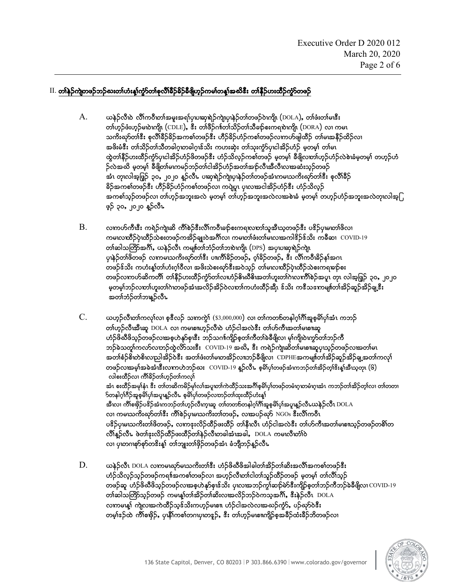### $\,$  II. တါနှဉ်ကျဲတဖဉ်ဘဉ်ဃးတါဟံးန့၊်ကွဲာ်တာ်စုလိၢိခိဉ်ခိဉ်ခီဖြဲဟူဉ်ကမၢ်တန္၊်အဃိဒီး တ၊နီဉ်ဟးထိဉ်ကွဲာ်တဖဉ်

- $A.$  ယနဉ်လီဃဲ လီါကဝီဟာ်အမူးအရ $i$ ပုဃဆုရဲဉ်ကျဲယုနဉ်တၢ်တဖဉ်ဝဲဟျို (DOLA), တ၊်ဖံးတ၊်မၽီး တ)်ဟ္၌ဖီးဟ္၌မလဲကျို (CDLE), ဖီး တ)်ဖီ၌ဂၢါတ)်သိ၌တာသီချာ်စူးကရျားကျို၊ (DORA) လ၊ ကမၤ သကိးဃှာ်တၢ်ဒီး စုလိၢ်ခိဉ်ခိဉ်အကစၢ်တဖဉ်ဒီး ဟိဉ်ခိဉ်ဟံဉ်ကစၢ်တဖဉ်လၤကဟ်ဖျါထိဉ် တ၊်မၤအနီဉ်ထိဉ်လၤ အဖိးမံဒီး တၢ်သိဉ်တ၊်သီတခါဂူဟခါဂူၤဖ်သိး ကဟးဆုံး တ၊်သုးကွံာ်ပုၤငါအိဉ်ဟံဉ် မှုတမှ၊် တ၊်မၤ ထွဲတါနိဉ်ဟးထိဉ်ကွံာ်ပုၤငါအိဉ်ဟံဉ်ဖိတဖဉ်ဒီး ဟံဉ်သိလ္ဉ်ကစါတဖဉ် မှတမှ၊် ခီဖျိလတ၊်ဟူဉ်ဟံဉ်လဲစဲၤနံမှတမှ၊် တဟူဉ်ဟံ  $\delta$ လဲအဃိ မှတမှါ ခီဖြိတၤ်မကမဉ်ဘဉ်တၤ်ငါအိဉ်ဟံဉ်အတၤ်အဉ်လီ၊အီလီ၊လၢအဆံးသူဉ်တဖဉ် အံၤ တုၤလါအုဖြှဉ် ၃၀, ၂၀၂၀ န္ဥာလီၤ ပၢရာရဲဉ်ကျဲယု၊နဲဉ်တၢ်တဖဉ်အံၤကမၤသကိႏဃုာ်တၢ်စီး စုလိၢ်ခဵဉ် ခိဉ်အကစၢ်တဖဉ်ဒီး ဟီဉ်ခိဉ်ဟံဉ်ကစၢ်တဖဉ်လ၊ ကပျဲပူး ပုၤလၽခငါအိဉ်ဟံဉ်ဒီး ဟံဉ်သိလ္ဉ် အကစါသုဉ်တဖဉ်လ၊ တါဟုဉ်အဘူးအလဲ မ့တမ့ါ် တါဟုဉ်အဘူးအလဲလၽစဲၤနံ မ့တမ့ါ် တဟုဉ်ဟံဉ်အဘူးအလဲတုၤလါအ့ြ ဖုဉ် ၃၀, ၂၀၂၀ န္5လီၤ
- $\,\mathrm{B.}\quad$   $\,\,$  လႃကဟ်ကီၗီး ကရဲဉ်ကျဲဆိ ကိၢိစဲဉ်ဒီးလိၢ်က၀ိၤစဉ်စးကရုလာာာ်သူအီၤသ္စတဖဉ်ဒီး ပဒိဉ်ပု၊မ၊တၢိဖိလ၊ ကမၤလၤထိဉ်ပုံၤထိဉ်သဲစးတဖဉ်ကအိဉ်ချူးဝဲအင်္ဂါလ၊ ကမၤတၢ်ဖံးတ၊်မၤလၢအကါဒိဉ်ဒ်သိုး ကခ်ီဆ၊  $\rm~COVID\text{-}19$ တၢ်ဆါသတြိာအင်္ဂါ, ယနဲ့ဉ်လီၤ ကမျ။်တၢ်ဘံဉ်တၢ်ဘဎဲကျို၊ (DPS) အပု၊ပၢဆု၊ရဲဉ်ကျဲ၊ ပုၾဲ့ာ်တ္ပါဖိတဖ္ပဉ် လက္ကမ္မဃကိုးဃာ်တ္ပါစီး ပ။္ယာဂ်ီးခ်ိုဥက္ဖ္မဟုင္တဲ့ ဝုံးခ်ိုဥက္ဖ္မဟုင္း လ်ိဳးကဝီးခ်ိေန်းအဂၤ တဖဉ်န်သိး ကဟံးန့္က်တ္ပါဟုံးဂ္ဂ္)ဝီလ၊ အဖိုးသဲစးဃှာ်ဒီးအဝဲသ္၄် တျမၤလ္ကထိဉ်ပဲက္မွီဉ်သဲစးကရုမျာ်စုး တဖဉ်လကဟ်ဆိကတိ၊် တၢ်နီဉ်ဟးထိဉ်ကွံာ်တ၊်လဃဉ်နိၤဃီနိ်းအတ၊်ဟူးတ၊်ဂဲၤလကီ၊ိစဉ်အပူ၊ တု၊ လါအဖြှဉ် ၃၀, ၂၀၂၀ မှတမ္]ဘဉ်လတ]်ဟူးတ1်ဂဲဟဖဉ်အံၤအလိဉ်အိဉ်ဝဲလတ]်ကဟံးထီဉ်အီုၤ ဒ်သိး ကဒီသကေမျှ။်တ]်အိဉ်ဆူဉ်အိဉ်ချ့ဒီး အတၢ်ဘံဉ်တၢ်ဘန္ ဉ်လီၤ
- $C.$  , ပောက်လိုတာ်ကလု၊်လ၊ စုဒီလဉ် သကကွဲ $\mathbf{N}$   $(s_{3,000,000})$  လ၊ တ၊်ကတ $\mathbf{b}$ တနါဂူါဂီါအူစုမိါပု၊်အံၤ ကဘဉ် တ)်ဟ္ဥာလီးအီးဆူ  $DOLA$  လ၊ ကမၤစၢဟ္ဥာလီၤဲလ ဟဉ်ငါအလဲဒီး တ)်ဟ်ကီးအတ)်မၤစၢဆူ ဟံဉ်ဖိဃီဖိသူဉ်တဖဉ်လၽာ့စ္ ဟဲနှာ်စုၤဖီး ဘဉ်သင်္ဂၢကြိုဉ်စုတ၊်ကိတ္တါခီမိဖြလ၊ မှ၊်ကျို၊ဝဲၤကွာ်တၢ်ဘဉ်ကီ ဘဉ်ခဲသတူၢ်ကလာ်လဃာဉ်ထွဲလိာသးဒီး COVID-19 အဃိ, ဒီး ကရဲဉ်ကျဲဆိတၢ်မၢစπဆူပုဃ္ဥာ်တဖဉ်လၽာတ၊်မၤ အတၢ်စံဉ်စိ၊တဲစိ၊လညါအိဉ်ဝဲဒီး အတၢ်ဖံးတ၊်မ၊တအိဉ်လ။ဘဉ်ခီဖိျလ၊  $\,$ CDPHEအကမျ။်တ၊်အိဉ်ဆူဉ်အိဉ်ချ့အတ၊်ကလု၊် တဖဉ်လၢအမ္၊်အခဲအံ၊ဒီးလကဟဲဘဉ်ဃး  $\rm~COVID$ -19 နူဉ်လီ၊. စုဓိ၊်ပှ၊်တဖဉ်အံ၊ကဘဉ်တ၊်အိဉ်တု၊ိဒိးနှ၊်အီ၊သူတု၊  $\rm(G)$ လါစးထိဉ်လ၊ ကိ်္ဂါခိဉ်တ၊်ဟ္ဥတၢ်ကလု၊် အံၤ စးထိဉ်အမှုနံၤ ဒီး တ၊်တဆိကမိဉ်မှ၊်လ၊်အပူးတ၊်ကဲထိဉ်သးအင်္ဂိုစုမိၤပုဂ်ာဖဉ်တမံၤဂူးတမံၤဂူးအံၤ ကဘဉ်တ၊်အိဉ်တ့၊်လ၊ တ၊်တတ၊  $\bf$  ာနါဂ့ါဂီဉ်အူစုမိ $\bf$ ပုါအပူးနူဉ်လီၤ စုမိ $\bf$ ပုါတဖဉ်လ $\bf p$ ဉ်တာံထူးထိဉ်ဟံးန္ $\bf \hat{N}$ အီးလ၊ ကိၢိစဖိုဉ်ပဒိဉ်အံးကဘဉ်တ၊်ဟ္ဥ်လီးကူးဆူ တ၊်တတစ်တနါဂု၊်ဂိၢိအူစ္စမိါပု၊်အပူးန္ဥလီးယနဲ့ဉ်လီး  $\rm DOLA$ လ၊ ကမၢသကိႏဃုာ်တၢ်ဒီး ကိါစဉ်ပု၊မ၊သကိႏတၢ်တဖဉ်, လ၊အပဉ်ဃုာ် NGOs ဒီးလိၢိကဝီၤ ပန္နဉ်ပုများကိုးတပ်စ္ပါတယ္နဲ႔ တကမ္းတွဲဥထိဥဖူးထွဲဥ လျှန္နူတူ ကဲ့ဥငျဆတ္ခန္း တျက္ဥယူထားတဲ့စာတာတာစာတစ္ပါတ  $\partial^3\psi_0$ လီး, ဖွဲ့တျ် $\partial^3\psi_0$ လိုင်းတိုင်းတို့စွဲသူသို့တွဲခါအုပ်သည့် DOLA ကမ္ပ္တလားကို ပ လ၊ ပု၊တဂၢစုာ်စုာ်တၖိးန္1် တၢ်ဘျးတၢ်ဖိုဉ်တဖဉ်အံၤ ခံဘိုုဘဉ်န္ဉာလီၤ
- D. ,eJ.vDR ADOLA vXurRCkmrRoud;w>'D;A[H.zdCDzdtgcgw>td.w>qd;tvD>tup>wz.'D;A ဟံဉ်သိလ္ဝ်သ္ဝ်တဖဉ်က၍အကစ)်တဖဉ်လ၊ အဟ္ဥလီးတာ်ငါတ)်သူဉ်ထိဉ်တဖဉ် မှတမှ)် တာ်လီ္ဂ်သ္ဝ် တဖဉ်ဆူ ဟံဉ်ဖိဃီဖိသ္ဉ်ာတဖဉ်လၽာ့စ္ၿဟဲနှာ်စု၊ဖ်သိး ပုၤလၽာဘဉ်ကွ၊်ဆဉ်မဲာ်ဒီးကျိဉ်စုတ၊်ဘဉ်ကီဘဉ်ခဲခီဖိျလ၊  $\rm{COVID}\text{-}19$ တၢ်ဆါသတြိာသူဉ်တဖဉ် ကမႃၗရုတၢ်အိဉ်တၢ်ဆိးလၢအလိဉ်ဘဉ်ဝဲကသူအင်္ဂါ, ဒီးနဲ့ဉ်လီၤ DOLA လကမဍ္မရ ကျဲလအကဲထိဉ်သွဒ်သိႏကဟ္၌မျာ။ ဟံဉ်ငါအလဲလ၊အဆဉ်ကွံဉ်, ပဉ်ဃှာ်ဝဲဒီး တမ္နုံးနဉ်ထဲ ကိုိုစဖိုဉ်, ပု၊နိါကစ္ပါတဂယုတ္မနဉ်, ဒီး တျပာ့ဉ်မျစ္စ။ကျိုဉ်စုအခ်ိဳဉ်ထံးခ်ိဳဉ်ဘိတဖဉ်လ၊

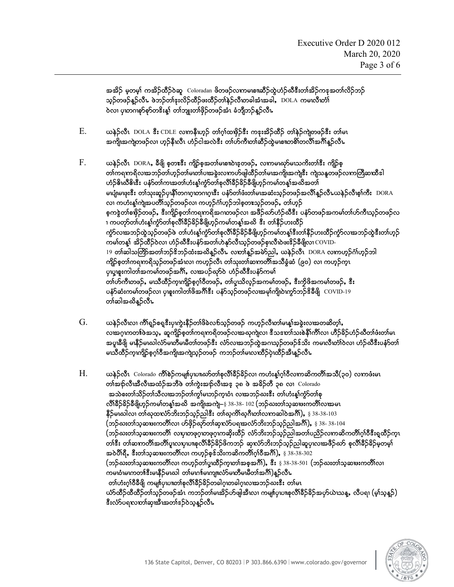အအိဉ် မှတမှ)် ကအိဉ်ထိဉ်ဝဲဆူ Coloradan ဖိတဖဉ်လကမဏၢဆိဉ်ထွဲဟံဉ်ဃီဒီးတၢ်အိဉ်ကအေတၢ်လိဉ်ဘဉ် သ္ဥတဖဉ်နူဥ်လီၤ ဖဲဘဥ်တၢ်ဒုးလိဉ်ထိဉ်ဖးထိဉ်တၢ်နဲ့ဥ်လီးတခါအံံးအခါ,DOLA ကမၤလီးတံ၊် ၀ဲလ၊ ပု၊တဂၢစုာ်စုာ်တဒိးန္1် တၢ်ဘူးတ၊်ဖိုဉ်တဖဉ်အံၤ ခံဘိုဘဉ်နဉ်လီၤ

- $E.$  , မာန်္ာလီး DOLA & CDLE လကနီယာ့ဉ် တၢ်ဂ္ဂါထဖိုဉ်& ကနးအိဉ်ထိဉ် တ၊်နဉ်ကျဲတဖဉ်& တ၊်မၤ အကျိုအကျဲတဖဉ်လ၊ ဟ့ဉ်နီၤလီၤ ဟံဉ်ငါအလဲဒီး တၢ်ဟ်ကီၤတၢ်ဆီဉ်ထဲ့မၤစπတစိၤ်တလိၤ်အဂါိန္ဉာလီၤ
- $F.$  , ပောန်ဉ်လီၤ  $DORA$ , ခ်ီဖြို စုတ $\mathbf{r}$ အီး ကျိဉ်စုအတၤ်မေစπဝဲၾတဖဉ်, လကမၢဃုာမာသက်ိးတၤ်ဒီး ကျိဉ်စု တၢ်ကရကရိလ၊အဘဉ်တၢ်ဟ္ဥတၢ်မ၊တၢ်ပ၊အခွဲးလကဟ်ဖျါထိဉ်တ၊်မ၊အကျိ၊အကျဲဖီး ကျဲသန္နတဖဉ်လကတြီဆထီဒါ ဟံဉ်ဓိၤဃီဓိၤဒီး ပနံာ်တၢ်ကၤအတၢ်ဟံးန္၊်ကွာ်တၢ်စုလိၢ်ခိဉ်ခိဉ်ခီဖျိဟ္ဉာ်ကမၢ်တန္၊်အဃိအတၢ် မယုံျမၾးဒီး တါသုးဆူဉ်ပု၊နိါတဂၤဂ္ဂ၊တဂၤဂ္ဂ၊ဒီး ပနံာ်တါဖံးတါမၽာဆံးသ္ဉ်တဖဉ်အလီ၊နူဉ်လီ၊ ယနဉ်လီ၊စ္စ္ပါကီး DORA လ၊ ကဟံးန့၊်ကျဲအပတိါသူဉ်တဖဉ်လ၊ ကဟူဉ်ငံ္ဂါဟူဉ်ဘါစုတႜၤသူဉ်တဖဉ်, တၢ်ဟူဉ် စ္စကနွဲတါစဖိုဉ်တဖဉ်, ဒီးကျိဉ်စ့တါကရကရိအဂၢတဖဉ်လ၊ အဖိဉ်ဃာ်ဟံဉ်ဃီဒီး ပနံာ်တဖဉ်အကမါတါဟ်ကီၤသ္ဉ်တဖဉ်လ 1 ကပတှာ်တၢ်ဟံးန္Iကွဲာ်တၢ်စုလိၢ်ခိ်ဉ်ခိဉ်ခီဖျိဟ္ဥာကမၢ်တန္၊်အဆိ ဒီး တ၊်နိဉ်ဟးထိဉ် ကွာ်လၢအဘဉ်ထွဲသူဉ်တဖဉ်ဖဲ တါဟံးနှုဂ်ကွာ်တ1်စုလိ1်ခိဉ်ခိဉ်ခီဖျိဟ္ဥာကမါတန္၊ဒီးတ1်နိဉ်ဟးထိဉ်ကွာ်လၢအဘဉ်ထွဲဒီးတါဟုဉ် ကမၢ်တန္၊် အိဉ်ထိဉ်ဝဲလ၊ ဟံဉ်ဃီဒီးပနံာ်အတ၊်ဟဲနှာ်လီးသ္ဉ်တဖဉ်စုၤလီၤဝဲဖးဒိဉ်ခီဖျိလ၊ $\overline{\text{cov}}$ က-19 တါဆါသတြိာအတါဘဉ်ဖိဘဉ်ထံးအဃိန္ဥာလီၤ လတ1်န္ဥာအမဲာညါ, ယနဲ့ဉ်လီၤ DORA လကဟ္ဥာ်ဂ်္ါဟ္ဥာဘါ ကျိဉ်စုတၢ်ကရကရိသူဉ်တဖဉ်အံၤလ၊ ကဟူဉ်လီၤ တ၊်သုးတ၊်ဆၤကတိၢ်အသိခွံဆံ (၉၀) လ၊ ကဟူဉ်ကူၤ ပုယူစူးကါတါအကမါတဖဉ်အင်္ဂါ, လၽပဉ်ဃှာ်ဝဲ ဟံဉ်ဃီဒီးပနံာ်ကမါ တၢ်ဟ်ကီၤတဖဉ်, မဃီထိဉ်က္ၤကျိဉ်စ္ဂဂ္)ဝီတဖဉ်, တၢ်ပူသိလ္ဉ်အကမၢ်တဖဉ်, ဒီးကိုဖိအကမၢ်တဖဉ်, ဒီး ပနံ $\delta$ ဆံးကမါတဖဉ်လ၊ ပုဖူးကါတါဖိအင်္ဂါဒီး ပနံ $\delta$ သ္ဥတဖဉ်လ၊အမှါကျိုပဲ၊ကွ $\delta$ ဘဉ်ဒိခီဖြို  $\rm~COVID\text{-}19$ တစ်ဆုံးထိုး
- $\,\mathrm{G.}\qquad$  ယနဲ $\mathrm{\beta}$ လီးလ၊ ကိ $\mathrm{\mathfrak{h}}$ ရာစိ $\mathrm{\mathfrak{g}}$ းပုံကွဲးနီဉိတ $\mathrm{\delta}$ စဲလင်္ဘာဉိတဖဉ် ကဟ္ဉ်လီးတ $\mathrm{\delta}$ မာန့်္ဂအခွဲးလၽာတဆိတ္), လၽာဂ္ၤကတၢါဖဲအသ္, ဆူကျိဉ်စ္စတါကရကရိတဖဉ်လၽာဆုကျလ၊ ဒီသဘောါသးစဲနီၢ်ကိၤ်လ၊ ဟိဉ်ခိဉ်ဟံဉ်ဃိတ၊်ဖံးတ၊်မၤ အပူ၊နီဖြို မၤနီဉ်မၤဃါလံာ်မၤတီမၤမီတၢ်တဖဉ်ဒီး လံာ်လၢအဘဉ်ထွဲအဂၤသ္ဥ်တဖဉ်ဒ်သိး ကမၤလီ၊တံ၊်ဝဲလ၊ ဟံဉ်ဃီဒီးပနံာ်တ၊် မဃီထိဉ်ကူကျိဉ်စ့ဂ္ဂါဝီအကျိုအကျဲသူဉ်တဖဉ် ကဘဉ်တါမၤလၤထိဉ်ပုဲယီဉ်အီၤန္ဉာလီၤ
- $H.$  ယန်ဉ်လီၤ  $\,$  Colorado ကိ $\,$ စ်ဉ်ကမျπ်ပုဃπဃာ်တၢ်စုလိ $\,$ ်နှိဉ်နိဉ်လၢ ကဟံးန့ $\,$ ဂ္ဂ်ါဝီလ $\,$ ကဆိကတိ $\,$ ်အသီ $\,$ (၃၀) လ $\,$ ကဖံးမ $\,$ τ တ)အဉ်လီ၊အီလီ၊အထံဉ်အဘီဖဲ တ)်ကွဲးအဉ်လီ၊အဒ္ ၃၈ ဖဲ အခိဉ်တီ ၃၈ လ၊  $\emph{Colorado}$ အသဲစးတၢ်သိဉ်တၢ်သီလ၊အဘဉ်တၢ်ကွ၊်မ၊ဘဉ်က္ခၤဝံၤ လ၊အဘဉ်ဃးဒီး တၢ်ဟံးန္၊်ကွာ်တၢ်စု လိ $\Omega$ န်ာ်ခိန်ရိယှဉ်ကမ $\Omega$ တန့်္ $\Omega$ အယို အကျိုအကဲျ $-\S$   $38$ - $38$ -  $102$   $($ ဘဉ်ဃးတ $\Omega$ သွဆ $\mathbf w$ းကတိ $\Omega$ လ $\mathbf w$ ခမ $\Omega$ နိဉ်မဃါလ၊ တါဃုထလံာ်ဘိးဘဉ်သုဉ်ညါဒီး တါဃုကိါဃုဂီဟ၊်လကဆါဝဲအင်္ဂါ),  $\S$   $38$ - $38$ - $103$ (b.C;w>ohqXz;uwD>vXAymzSd.Ckmw>qSXvHmy&XtvHmbd;b.oh.ngt\*D>)<A§ 38- 38-104 (ဘဉ်ဃးတါသ့ဆၤးကတိိ၊် လၦာဟဖုဂ္ဎာဖုဂ္ပဏဆိုးထိဉ် လံာ်ဘိးဘဉ်သ္ဉ်ညါအတၢ်ပညိဉ်လႃကဆိကတိၢ်ဂ္ဂါဝီဒီးရှုထိဉ်က္၊ တါနီး တါဆကတိါအတိါပူးလပုဃျစုလိါခ်ိဉ်ခိဉ်ဖိကဘဉ် ဆုလံာ်ဘိးဘဉ်သူဉ်ညါဆူပု၊လ၊အဖိဉ်ဃာ် စုလိါခ်ိဉ်ခိဉ်မှတမှု၊ အဝဲပိါရီ, ဒီးတ၊်သ္ခဆ $\boldsymbol{u}$ းကတိါလ၊ ကဟ္ဥ်စ္နဒ်သိးကဆိကတိါဂ္)်ပီအဂီါ),  $\S$  38-38-302 (ဘဉ်ဃးတါသ့ဆ $\boldsymbol{w}$ းကတိ $\boldsymbol{\Omega}$ လ၊ ကဟ္၇်ာတါပူယိဉ်ကုဟာ်အစ္နအဂီ) $\boldsymbol{k}$   $\boldsymbol{s}$   $:$   $\S$   $38-38-501$  (ဘဉ်ဃးတါသူဆ $\boldsymbol{w}$ းကတိ $\boldsymbol{\Omega}$ လ၊ ကမၤဝံၤမၤကတၢါဒီးမၤနိဉ်မၤဃါ တၢ်မၤဂၢါမၤကျ။လံာ်မၤတီမၗမီတၢ်အင်္ဂါ)န္ဉာ်လီၤ တ)်ဟုံးပုံ(ဝွစ္စေ() ယမျူပ်ကယာပုံစံ(၁၉၇၉၃၃ဝ၁၂ပုံထားတယ်ကာသည်မားဇူး ထုတ္ပမာ ယံာ်ထိဉ်ထိထိဉ်တၢ်သ္ဉ်တဖဉ်အံၤ ကဘဉ်တ၊်မၽိဉ်ဟ်ဖျ်အီးလ၊ ကမျ။်ပုဃၢစုလိၢ်နိဉ်နိဉ်အဟိုယ်၊သန္န, လီပရ၊ (မှ၊်သူန္ဉ်) အီးလံာ်ပရဃတၢ်ဆု၊အီအတၢ်ဒဉ်ဝဲသူနဉ်လီး

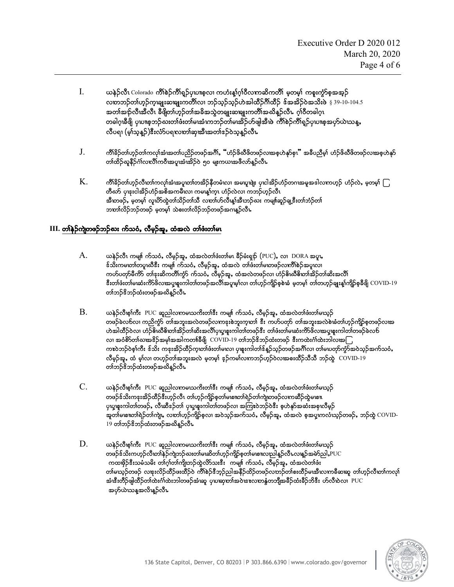- I. ,eJ.vDR ColoradoAuD>pJ.uD>& h.ySRyXRphvXAu[H;M>\*h>0DvXuqduwD>Arhwrh>Aupl;uGHmphtth. လတဘဉ်တါဟုဉ်က္ခ္မရူးဆရူးကတိါလ၊ ဘဉ်သူဉ်သုဉ်ဟဲအါထိဉ်ဂိၢိထိဉ်  $\delta$ အအိဉ်ဝဲအသိးဖဲ  $\S$  39-10-104.5 အတၢ်အဉ်လီးအီလီၤ ခီဖိုတ၊်ဟ္ဥတၢ်အခ်ိအသွဲတချုးဆရျုးကတိၢ်အဃိန္ဥလီၤ ဂ္ဂါဝီတခါဂ္ၤ တခါဂူးခ်ီဖြို ပုဃၤစ္စဘဉ်ဃးတ1်ဖီးတ1်မၤအီးကဘဉ်တ1်မၤအိဉ်ဟ်ဖျဲအီးဖဲ ကိါစဉ်ကိါရှဉ်ပုဃၤစ္စအဟိုယ်ၤသန္န လီပရၢ (မ့)်သူ့နည်)ဖီးလံာ်ပရုလည်္ကနာအိုးအတ္ပါဒေညတဲ့နည်လီး
- $J.$  ကိုးခြိဉ်တျ်ဟှဉ်တျ်ကလုုံအံ့၊အတျ်ပညှဉ်တဖဉ်အင်္ဂါ, "ဟုံဉ်ဖို့ဆီဖိတဖဉ်လ၊အစ္စဟဲနှာ်စု၊" အခီပညီမှု၊ ဟုံဉ်ဖို့ဆီဖိတဖဉ်လ၊အစ္စဟဲနှာ် တၢ်ထိဉ်ဃူနီဉ်ငံ္ဂါလπပ်ိဳၤကဝီၤအပူၤအံၤအိဉ်ဝဲ ၅၀ မျးကယၤအဖီလာ်န္ဉာလီၤ
- $\rm\,K.$   $\rm$  ကိ $\rm\,K\$ န်လိုက်ကြွက် အုပ်မြင်းအုပ်ကြွန်တို့အိုးကို အမျေးဖြုံး ပုထြဆိုင်တို့ဘကအမှုအဒါလကဟ္၌ ဟဉ်လဲ, မှတမှ $\rm\,G$ တီဃာ် ပုၾးငါအိဉ်ဟံဉ်အစိအကမီးလ၊ ကမၤန္၊်က္၊ ဟံဉ်လဲလ၊ ကဘဉ်ဟ့ဉ်လီၤ အီးတဖဉ်, မှတမှ)် လူဃိာထဲ့တ္က်သိဉ်တ္က်သီ လူတစ်ဟိုလီးနှုံအီးဘဉ်ဃႏုကမျိုးဆွဉ်ချု့နီးတ္က်ဘဲ့ဉ်တ္က် ဘတၤ်လိဉ်ဘဉ်တဖဉ် မှတမှ၊် သဲစးတၤ်လိဉ်ဘဉ်တဖဉ်အဂၢန္ဥာလီး

#### $III.$  တါနဉ်ကျဲတဖဉ်ဘဉ်ဃး က်သ**ံ, လီ**မှဉ်အူ, ထံအလဲ တါဖံးတါမၤ

- $\rm A. \qquad$  ယနဲ့ $\rm \delta$ လီး ကမျ။် က်သဝံ, လီမ့ဉ်အူ, ထံအလဲတါ်ဖီးတါမၤ ခီဉ်မံးရှဉ် (PUC), လၢ  $\rm \,DORA$  အပူး,  $\hat{s}$ သိႏကမၤတၢ်တပူးဃီဒီး ကမျ။် က်သဝံ, လီမှဉ်အူ, ထံအလဲ တ၊်ဖံးတ၊်မၤတဖဉ်လၤကိၢ်စဉ်အပူၤလ၊ ကဟ်ပတှာ်မီကိာ် တၢဴနးဆိကတိၢ်ကွာ် က်သဝံ, လီမှဉ်အူ, ထံအလဲတဖဉ်လ၊ ဟံဉ်ဓိၢဃီဓိ၊တၢ်အိဉ်တ၊်ဆိးအလိ၊် စီးတၢ်ဖံးတ၊်မ၊ဆံးကိ $S$ ဖိလၽပ္ဖ္ကဖူးကါတ၊်တဖဉ်အလီ၊အပူးမ္၊်လ၊ တ၊်ဟ္ဥာကျိဉ်စ့စဲ၊ခံ မှတမ္၊် တ၊်တဟ္ဥချႏန္၊်ကျိဉ်စ္စဓီဖျိ COVID-19 တၢ်ဘဉ်ၖိဘဉ်ထံးတဖဉ်အဃိန္ဉာလီၤ
- $\rm\,B.$  , မာန်္ဂလီဖ္ $\rm\,f$ ကီး  $\rm\,PUC$  ဆူညါလကမဃကိိးတါ် $\rm\,s$ း ကမျင်္ဂ ကိသငံ, လီမှဉ်အူ, ထံအလဲတါဖံးတါမဃ္ဉာ် တဖဉ်ခဲလာလ၊ ကညိက္ခ်ာ တါအဘူးအလဲတဖဉ်လကနးစဲဘူးကုဟာ၊် ဒီး ကဟ်ပတှာ် တါအဘူးအလဲစဲ၊ခံတါဟုဉ်ကျိဉ်စ္စတဖဉ်လ၊အ ဟဲအါထိဉ်ဝဲလ၊ ဟံဉ်ဓိၤဃီဓိၤတၢ်အိဉ်တၢ်ဆိးအလိၢ်ပုယူဖူးကါတ၊်တဖဉ်ဒီး တၢ်ဖံးတ၊်မ၊ဆံးကိ $\delta$ ဖိလၢအပူဖူးကါတ၊်တဖဉ်ခဲလ $\bf{\hat{b}}$ လ၊ အင်္ဝိတ်ာ်ပေးအနဉ်အမှါအအါကတ1်ခီဖို $\mid$   $\rm COVID$ -19 တ $\rm I$ ဘဉ်နိဘဉ်ထံးတဖဉ် နီးကထဲးင်္ဂါထဲးဘါလးအ $\bigcap$ ကးဝဲဘဉ်ဝဲစ္၊်ကီး ဒ်သိး ကဒုးအိဉ်ထိဉ်က္ခတာဖိုးတါမယ၊ ပုဖူးကါတါဒ်န္ဥ်ာသ္ဥတဖဉ်အင်္ဂါလ၊ တါမၿတုာ်ကွဲ၁်အဝဲသူဉ်အက်သ**ံ,** လီမှဉ်အူ, ထံ မ့္ပ်လ၊ တဟ္ဥာ်တါအဘူးအလဲ မ့တမ့္ပ် ဒ္ဥာကမ္ပါလၤကဘဉ်ဟ္ဥာ်ဝဲလၢအစးထိဉ်သီသီ ဘဉ်ထွဲ COVID-19 တၢ်ဘဉ်စိဘဉ်ထံးတဖဉ်အဃိန္ဝ်ာလီၤ
- $C.$  ယနဉ်လီဖ္ $\delta$ ကီး PUC ဆူညါလကမဃကိးတ $\delta$ ီး ကမျ $\delta$  က်သငံ, လီမှဉ်အူ, ထံအလဲတ $\delta$ ဖံးတါမဃ္ဉာ် တဖဉ်ဒ်သိးကနးအိဉ်ထီဉ်ဒီးဟ္မဉ်လီၤ တါဟ္ဥာကျိဉ်စုတါမဏာတါရဲဉ်တါကျဲတဖဉ်လကဆီဉ်ထဲ့မဏၤ ပုယူစူးကါတ၊်တဖဉ်, လီးဆီဒဉ်တ၊် ပုယူစူးကါတ၊်တဖဉ်လ၊ အကြၤာဝဲဘဉ်ဝဲဒီး စုဟဲနှာ်အဆံးအစုၤလီမှဉ် အူတၢ်မစၢတၢ်ရဲဉ်တၢ်ကျဲµ လႃားဟ္ဥာ်ကျိဉ်စုလ၊ အဝဲသ္ဥာိအက်သငံႇ လီမှဉ်အူႇ ထံအလဲ စ့အပူကလံဃ္ဥာ်တဖဉ်ႇ ဘဉ်ထွဲ  $\rm\,COVID 19$  တၢ်ဘဉ် $\bf{\hat{s}}$ ဘဉ်ထံးတဖဉ်အဃိန္ဉာလီး $\bf{k}$
- $D.$  ဖေနဲ့ဉ်လီဖ္ $\delta$ ကီး PUC ဆူညါလကမဃကိးတါဒီး ကမျင်္ဂ ကိသငံ, လီမှဉ်အူ, ထံအလဲတါဖံးတါမဃ္ဉဉ် တဖဉ်ဒ်သိးကဟုဉ်လီးတါနဉ်ကျဲဘဉ်ဃးတါမ၊ဆိတ $\mathfrak{lo}$ တုဉ်ကျိဉ်စုတါမ၊စ။လည $\mathfrak{d}$ နှဉ်လီၤလ၊န္ $\mathfrak{d}$ အမဲ $\mathfrak{so}$ ည $\mathsf{I}$ ,PUC ကထဖိုဉ်ဒီးသမံသမိး တၢ်ဂ္]်တ၊်ကျိုဘဉ်ထွဲလိာသးဒီး ကမျ။် က်သဝံ, လီမှဉ်အူ, ထံအလဲတၢ်ဖံး တါမယ့ဉ်တဖဉ် လၾးလိဉ်ထိဉ်ဖးထိဉ်ဝဲ ကိါစဲဉ်ဒီဘ့ဉ်ညါအနီဉ်ထိဉ်တဖဉ်လတဉ်တါစးထိဉ်မၽီးလကခ်ီဆရာ တါဟ့ဉ်လီ၊တကလု၊် အံ၊ဒီးတိဉ်ဖျထိဉ်တါထဲးဂါထဲးဘါတဖဉ်အံ၊ဆူ ပုဃဆုတၢ်အဝဲၤဒ ${\bf r}$ လာနွံတဘျီအခီဉ်ထံးခီဉ်ဘိဒီး ဟ်လီၤဝဲလ၊  $\, {\rm PUC}$ အဟိယသန္ဓအလိၤန္ဝ်ာလီၤ

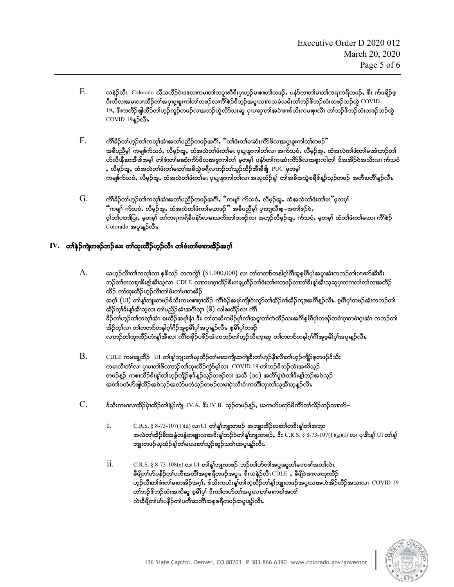- $\rm E. \qquad$  ယန $\rm \hat{p}$ လီၤ $\rm~C$ olorado လီသဟီ $\rm \hat{p}$ ဝဲၾလာမတေါ်တပူးဃီဒီးပုဃ္ $\rm \hat{p}$ မစπတါတဖ $\rm \hat{p}$ , ပနံ $\rm \hat{p}$ ကတါမောါကရကရိတဖ $\rm \hat{p}$ , ဒီး က်ဖရိ $\rm \hat{p}$ ဖ္ ပီးလီလၽမမလၢထိဉ်တၢ်အပုယူစူးကါတ၊်တဖဉ်လင်္ကါစဉ်ဒီဘုဉ်အပူလကသမံသမိးတ၊်ဘဉ်ဒိဘဉ်ထံးတဖဉ်ဘဉ်ထွဲ  $\rm COVID$ - $19$ , ဒီးကတီဉ်ဖျထိဉ်တါဟ္ဉ်ကူဉ်တဖဉ်လၽာဘဉ်ထွဲလိ $5$ သးဆူ ပုဃဆုတာ်အဝဲၾးဒ်သိးကမဖုၤလီၤ တါဘဉ်ဒိဘဉ်ထံးတဖဉ်ဘဉ်ထွဲ  $COVID-19$ နူ $S$ လီ $\nu$
- $\,\mathrm{F.} \qquad$  ကိ $\,\mathrm{h}\,\mathrm{s}$ ဉ်တက်ကလုံးအံအတ၊်ပညိဉ်တဖဉ်အဂီ), "တ၊ဖီးတ၊်မ၊ဆံးကိ $\mathrm{S}\,\mathrm{d}\,\mathrm{c}$ လားမှုဖူးကါတ၊်တဖဉ်" အခ်ီပညီမှါ ကမျင်္ဂါသဝံ, လီမှဉ်အူ, ထံအလဲတါဖံးတါမ၊ ပုယူစူးကါတါလ၊ အက်သဝံ, လီမှဉ်အူ, ထံအလဲတါဖံးတါမၽံ၊ဘဉ်တါ ဟ်လီၤနီ၊ဖးအီၤဒ်အမှ) တါဖံးတါမၢဆံးကိ $\sim$ ဖိလၤအစူးကါတါ မှတမှ) ပန်ာတကြာဆံးကိ $\sim$ ဖိလ $\sim$ အစူးကါတါ ဒ်အအိ $\sim$ ဝဲအသိးလ၊ က်သဝံ , လီမှဉ်အူ, ထံအလဲတါဖံးတါမဟါအဓိသွဲစရီလတဉ်တါသူဉ်ထိဉ်အီၤနီဖြို PUC မှတမှါ ကမျ။်က်သဝံ, လီမှဉ်အူ, ထံအလဲတါဖံးတါမ၊ ပုယူဖူးကါတါလ၊ အဃုထံဉ်န့၊် တါအဓိအသွဲစရီဒ်နူဉ်သုဉ်တဖဉ် အတီ၊ပတိၢ်နူဉ်လီ၊
- $\rm\,G.$  ကိါခိဉ်တါဟုဉ်တါကလုါအံၤအတါပညိဉ်တဖဉ်အင်္ဂါ, "ကမျာ်၊ က်သဝံ, လီမှဉ်အူ, ထံအလဲတါဖံးတါမ $\rm\,$ "မှတမှါ ိကမျ။် က်သ**ံ,** လီမှဉ်အူ, ထံအလဲတၢ်ဖံးတ၊်မၤတဖဉ်ိဳ အခ်ီပညီမှၤ် ပုၤဘျလီၤစ္–အတၢ်ံဒဉ်ဝဲ, ဝ့ါတာ်ပတာ်ပြး,မှတမှါ တါကရကရိခီပနာ်လာမဃကိႏတါတဖဉ်လ၊ အဟုဉ်လီမှဉ်အူ,က်သငံ,မှတမှါ ထံတါဖံးတါမၤလ၊ ကိါစဉ် Colorado အပူးနူဉ်လီး

## IV. တ<sup>နေ့</sup>ဉ်ကျဲတဖဉ်ဘဉ်ဃး တၢ်ထူးထိဉ်ဟွဉ်လီၤ တၢ်ဖီးတ၊်မၢတအိဉ်အဂ္ဂါ

- $\,{\rm A.}\qquad$  ယဟ္ဥလီယာါကလု၊်လ၊ စ့ဒီလဉ် တကကွဲ $\,$   $(\$1,000,000)$  လ၊ တါတတစ်တနါဂု၊ိဂိါအူစုမိါပု၊်အပူ၊အံၤကဘဉ်တါပ။ဃာ်အီးဖီး ဘဉ်တါမၤလႃပၗိးန္၊်အီၤသ္လလၢ CDLE လကမၤဂ္ဂၤထီဉ်ဒီးမၢနျ့ထိဉ်တၢံဖံးတါမၤာဖဉ်လၤားိဒးန္၊်အီၤသ္ခဆုပု၊တဂၤလ၊်လၤ်လ၊အတိဉ် ထီဉ် တ၊်ထုးထီဉ်ဟ္ဥလီယာ၊်ဖီးတ၊်မ၊တအိဉ် အဂ္ဂါ (UI) တါန့္ခ်ဘူးတဖဉ်ဒ်သိးကမစားဂုဏီဉ် ကိၢိစဉ်အမှာကျိုလဲကွာ်တာအိဉ်ဂၢါအိဉ်ကျူအဂိါနူဉ်လီၤ. စုမိါပု၊်တဖဉ်အံၤကဘဉ်တာ အိဉ်တု၊ိ&ိးန္၊်ိအီၤသ္**လ၊ တ၊်ပညိ**ဉ်အံၤအဂ်ိါတု၊ (၆) လါစးထိဉ်လ၊ ကိၢ်ိ ခြာ်တက်ဟုဉ်တကလုက်ဆံၤ စးထိဉ်အမှန်း၊ ဒီး တကတဆိကမိဉ်မှာလက်အပူထာကြထိဉ်သးအင်္ဂျီစုမိါပု)တဖဉ်တမံထူထမံထူအံၤ ကဘဉ်တာ အိဉ်တ္၊်လ၊ တ၊်တတၵ်တနါဂ္ဂါဂီဉ်အူစ္ဓမိၤ်ပု၊်အပူးန္ ာလီး စ္စမိၤ်ပု၊်တဖဉ် လတဉ်တါထုးထိဉ်ဟံးန္1်အီးလ၊ ကိၢိစႃၖၖိုာပဒိဉ်အံၤကဘဉ်တါဟ္ဥာလီးက္၊ဆူ တါတတစ်တနါဂ္၊ါဂိါအူစ္ဓမိါပု၊်အပူ၊န္ဥာလီၤ
- $\rm\,B.$  CDLE ကမၤချ့ထိဉ် UI တါန္1်ဘျးတါဃ္နထိဉ်တါမၤအကျို၊အကျဲဖီးတါဟ္ဥနီၤလီၤတါဟ္ဥာ်ကျိဉ်စ္စတဖဉ်န်သိး ကမၤလီးတာ်လ၊ ပု၊မၤတာ်ဖိလဃာဉ်တာ်ထုးထိဉ်ကွဲာ်မ့ာ်လ၊  $\rm\,COVID-19$  တာ်ဘဉ်ဖိဘဉ်ထံးအဃိသုဉ် တဖဉ်နည် ကစးထိဉ်ဒိးန္1်တါဟ္ဉာကျိဉ်စ့ဒ်န္ဥာိသ္ဥတဖဉ်လ၊ အသီ (၁၀) အတိၢိပူ၊ဲဖတၢ်ဒိးန္1်ဘဉ်အဝဲသ္ဉ် အတၢ်ပတံဟိဖျါထိဉ်အဝဲသုဉ်အလံာ်ပတံသုဉ်တဖဉ်လၢမၤပုဲ၊လီၤဝံၤကတိၢ်တု၊တၢ်သူအီၤသန္ ဉ်လီၤ
- $C.$   $\pm$   $\delta$ သိးကမၤလၤထီဉ်ပဲ့၊ထီဉ်တါနဲ့ဉ်ကျ IV.A.  $\ddot{\textbf{\emph{s}}}$ း IV.B. သွဉ်တဖဉ်နှဉ်, ယကဟ်ပတှာ်မီကိ $\delta$ တာ်လိဉ်ဘဉ်လၤလ $\delta$ 
	- $i.$  C.R.S.  $\S 8$ -73-107 $(1)(d)$  လ၊ $UI$  တါန့္ $S$ ဘူးတဖဉ် အဘူးအိဉ်လတ)်တ $\mathbf{\hat{s}}$ းန့္ $\mathbf{\hat{u}}$ တ်အဘူး အလဲတၢ်အိဉ်ခိးအနွံတနွံတချးလ၊အဒိးန္1်ဘဉ်ဝဲတ၊်န္1်ဘျးတဖဉ်ႇ ဒီး  $C.R.S. \ \S~8$ -73-107 $(1)(g)(I)$  လ၊ ပုၤဒိးန္1်  $UI$  တ၊်န္1် ဘူးတဖဉ်ဃုထံဉ်န့ၢ်တ၊်မၤလၢတ၊်သူဉ်ဆူဉ်သးဂဲၤအပူၤန္ဥာလီၤ
	- $ii.$   $C.R.S. \S 8-73-108(e)$  လ $IUI$  တါန္းဘူးတဖဉ် ဘဉ်တါဟ်တါအပူးဆူတါမၤကစါအတါလဲၤ ခီဖျိတၤ်ဟ်ပနိဉ်တၤ်ပတီ၊အတိၤ်အစုစရိတဖဉ်အပူ၊, ဒီးယနဉ်လီၤ $\rm CDE$  , ခီဖျိဝဲ၊အလေးားထိဉ် ဟ္ဥ်လီဖာ္ေပးတ္ပါမယ္အဆိုအပ္ပါ, ဒီသိႏၵာဟံႏန္ပါတ္ပါဃ္ဝတ္ရွိဥတ္(န္)သူုးတဖဥ္မ်အပူးလၽာဟန္ရွဥ္မိတ္ရွိဥထားလ္၊  $\rm\,COVID-19$ တၢ်ဘဉ် $\$\sigma$ ဘ်ထံးအဃိဆူ စုမိၢိပု၊် ဒီးတၢ်တဟ်တ၊်အပူးလာတ၊်မဏစ၊်အတ၊် လဲၤနီဖိုတၤ်ဟ်ပနီဉိတၤ်ပတီၤအတိၢ်အစ္စစရီတဖဉ်အပူၤန္ဥာလီၤ